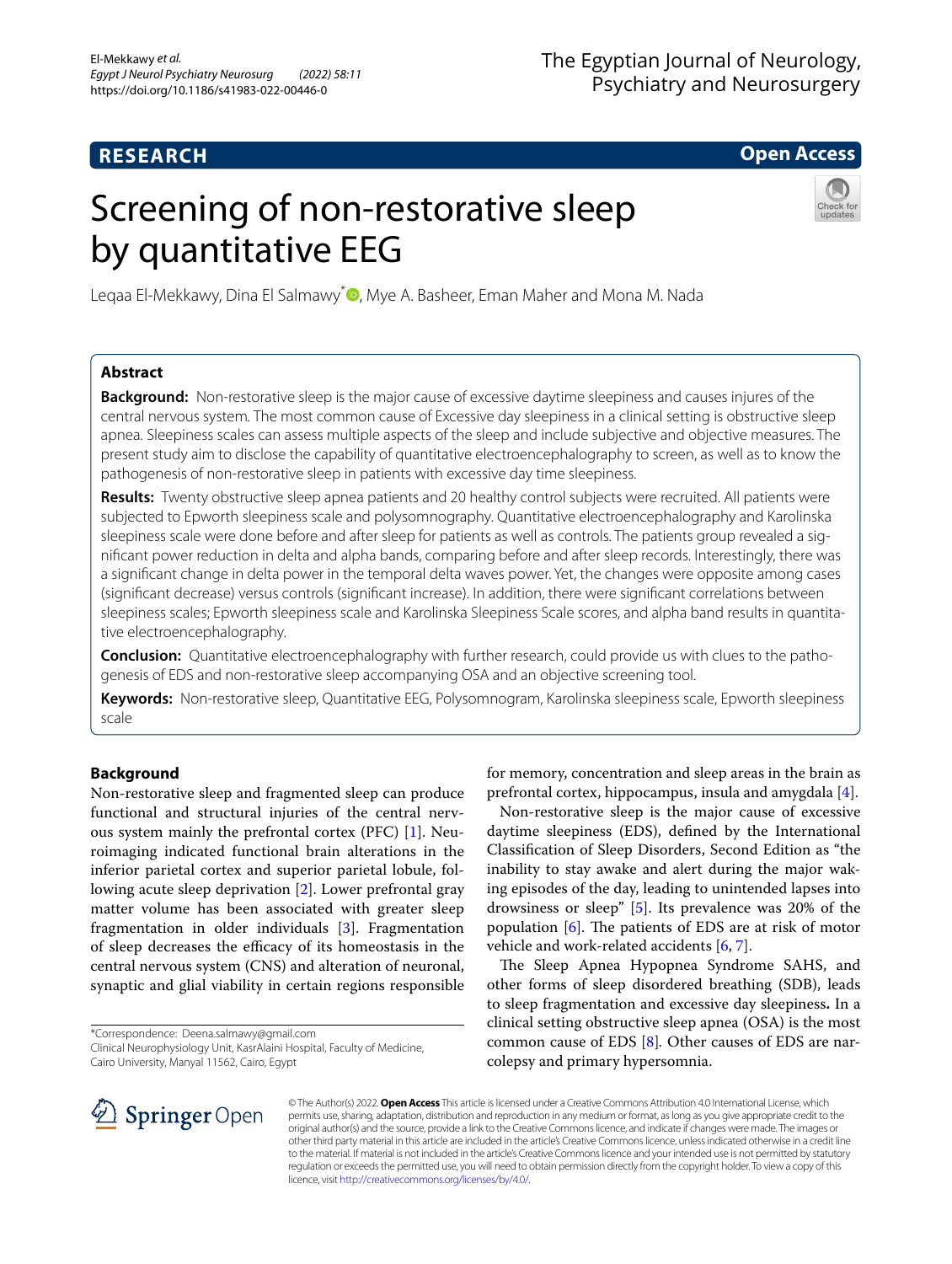# **RESEARCH**

# **Open Access**

# Screening of non-restorative sleep by quantitative EEG



Legaa El-Mekkawy[,](http://orcid.org/0000-0003-2009-7236) Dina El Salmawy<sup>\*</sup> D, Mye A. Basheer, Eman Maher and Mona M. Nada

# **Abstract**

**Background:** Non-restorative sleep is the major cause of excessive daytime sleepiness and causes injures of the central nervous system*.* The most common cause of Excessive day sleepiness in a clinical setting is obstructive sleep apnea*.* Sleepiness scales can assess multiple aspects of the sleep and include subjective and objective measures. The present study aim to disclose the capability of quantitative electroencephalography to screen, as well as to know the pathogenesis of non-restorative sleep in patients with excessive day time sleepiness.

**Results:** Twenty obstructive sleep apnea patients and 20 healthy control subjects were recruited. All patients were subjected to Epworth sleepiness scale and polysomnography. Quantitative electroencephalography and Karolinska sleepiness scale were done before and after sleep for patients as well as controls. The patients group revealed a signifcant power reduction in delta and alpha bands, comparing before and after sleep records. Interestingly, there was a signifcant change in delta power in the temporal delta waves power. Yet, the changes were opposite among cases (signifcant decrease) versus controls (signifcant increase). In addition, there were signifcant correlations between sleepiness scales; Epworth sleepiness scale and Karolinska Sleepiness Scale scores, and alpha band results in quantitative electroencephalography.

**Conclusion:** Quantitative electroencephalography with further research, could provide us with clues to the pathogenesis of EDS and non-restorative sleep accompanying OSA and an objective screening tool.

**Keywords:** Non-restorative sleep, Quantitative EEG, Polysomnogram, Karolinska sleepiness scale, Epworth sleepiness scale

# **Background**

Non-restorative sleep and fragmented sleep can produce functional and structural injuries of the central nervous system mainly the prefrontal cortex (PFC) [\[1](#page-5-0)]. Neuroimaging indicated functional brain alterations in the inferior parietal cortex and superior parietal lobule, following acute sleep deprivation [[2\]](#page-5-1). Lower prefrontal gray matter volume has been associated with greater sleep fragmentation in older individuals [\[3](#page-5-2)]. Fragmentation of sleep decreases the efficacy of its homeostasis in the central nervous system (CNS) and alteration of neuronal, synaptic and glial viability in certain regions responsible

\*Correspondence: Deena.salmawy@gmail.com

Clinical Neurophysiology Unit, KasrAlaini Hospital, Faculty of Medicine, Cairo University, Manyal 11562, Cairo, Egypt



Non-restorative sleep is the major cause of excessive daytime sleepiness (EDS), defned by the International Classifcation of Sleep Disorders, Second Edition as "the inability to stay awake and alert during the major waking episodes of the day, leading to unintended lapses into drowsiness or sleep" [[5\]](#page-5-4). Its prevalence was 20% of the population  $[6]$  $[6]$ . The patients of EDS are at risk of motor vehicle and work-related accidents [\[6,](#page-5-5) [7](#page-5-6)].

The Sleep Apnea Hypopnea Syndrome SAHS, and other forms of sleep disordered breathing (SDB), leads to sleep fragmentation and excessive day sleepiness**.** In a clinical setting obstructive sleep apnea (OSA) is the most common cause of EDS [[8](#page-5-7)]*.* Other causes of EDS are narcolepsy and primary hypersomnia.



© The Author(s) 2022. **Open Access** This article is licensed under a Creative Commons Attribution 4.0 International License, which permits use, sharing, adaptation, distribution and reproduction in any medium or format, as long as you give appropriate credit to the original author(s) and the source, provide a link to the Creative Commons licence, and indicate if changes were made. The images or other third party material in this article are included in the article's Creative Commons licence, unless indicated otherwise in a credit line to the material. If material is not included in the article's Creative Commons licence and your intended use is not permitted by statutory regulation or exceeds the permitted use, you will need to obtain permission directly from the copyright holder. To view a copy of this licence, visit [http://creativecommons.org/licenses/by/4.0/.](http://creativecommons.org/licenses/by/4.0/)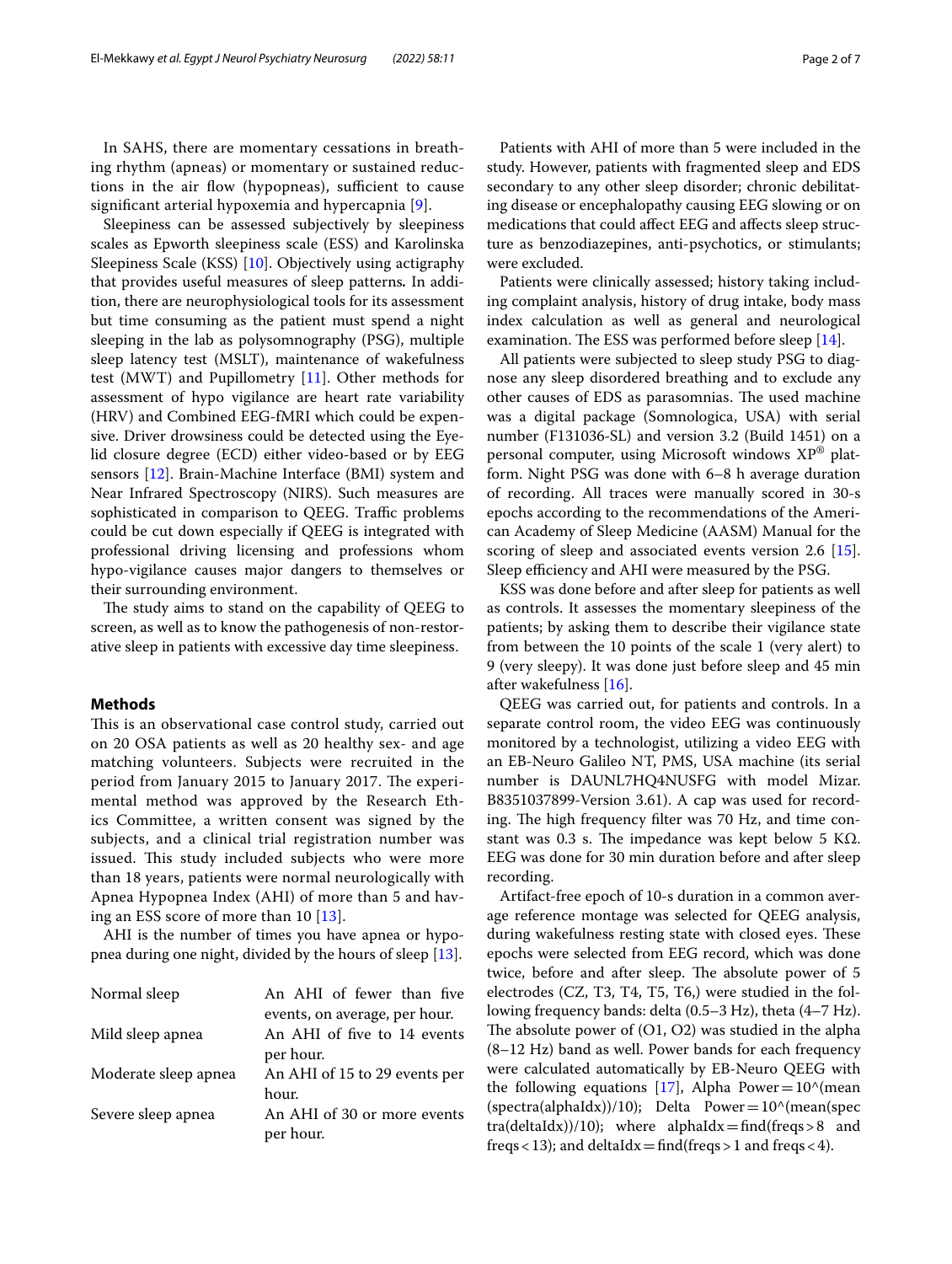In SAHS, there are momentary cessations in breathing rhythm (apneas) or momentary or sustained reductions in the air flow (hypopneas), sufficient to cause signifcant arterial hypoxemia and hypercapnia [[9\]](#page-5-8).

Sleepiness can be assessed subjectively by sleepiness scales as Epworth sleepiness scale (ESS) and Karolinska Sleepiness Scale (KSS) [\[10](#page-5-9)]. Objectively using actigraphy that provides useful measures of sleep patterns*.* In addition, there are neurophysiological tools for its assessment but time consuming as the patient must spend a night sleeping in the lab as polysomnography (PSG), multiple sleep latency test (MSLT), maintenance of wakefulness test (MWT) and Pupillometry  $[11]$  $[11]$  $[11]$ . Other methods for assessment of hypo vigilance are heart rate variability (HRV) and Combined EEG-fMRI which could be expensive. Driver drowsiness could be detected using the Eyelid closure degree (ECD) either video-based or by EEG sensors [\[12](#page-5-11)]. Brain-Machine Interface (BMI) system and Near Infrared Spectroscopy (NIRS). Such measures are sophisticated in comparison to QEEG. Traffic problems could be cut down especially if QEEG is integrated with professional driving licensing and professions whom hypo-vigilance causes major dangers to themselves or their surrounding environment.

The study aims to stand on the capability of QEEG to screen, as well as to know the pathogenesis of non-restorative sleep in patients with excessive day time sleepiness.

## **Methods**

This is an observational case control study, carried out on 20 OSA patients as well as 20 healthy sex- and age matching volunteers. Subjects were recruited in the period from January 2015 to January 2017. The experimental method was approved by the Research Ethics Committee, a written consent was signed by the subjects, and a clinical trial registration number was issued. This study included subjects who were more than 18 years, patients were normal neurologically with Apnea Hypopnea Index (AHI) of more than 5 and having an ESS score of more than 10 [[13\]](#page-5-12).

AHI is the number of times you have apnea or hypopnea during one night, divided by the hours of sleep [[13\]](#page-5-12).

| Normal sleep         | An AHI of fewer than five                                                 |
|----------------------|---------------------------------------------------------------------------|
| Mild sleep apnea     | events, on average, per hour.<br>An AHI of five to 14 events<br>per hour. |
| Moderate sleep apnea | An AHI of 15 to 29 events per                                             |
| Severe sleep apnea   | hour.<br>An AHI of 30 or more events<br>per hour.                         |

Patients with AHI of more than 5 were included in the study. However, patients with fragmented sleep and EDS secondary to any other sleep disorder; chronic debilitating disease or encephalopathy causing EEG slowing or on medications that could affect EEG and affects sleep structure as benzodiazepines, anti-psychotics, or stimulants; were excluded.

Patients were clinically assessed; history taking including complaint analysis, history of drug intake, body mass index calculation as well as general and neurological examination. The ESS was performed before sleep  $[14]$  $[14]$ .

All patients were subjected to sleep study PSG to diagnose any sleep disordered breathing and to exclude any other causes of EDS as parasomnias. The used machine was a digital package (Somnologica, USA) with serial number (F131036-SL) and version 3.2 (Build 1451) on a personal computer, using Microsoft windows XP® platform. Night PSG was done with 6–8 h average duration of recording. All traces were manually scored in 30-s epochs according to the recommendations of the American Academy of Sleep Medicine (AASM) Manual for the scoring of sleep and associated events version 2.6 [\[15](#page-5-14)]. Sleep efficiency and AHI were measured by the PSG.

KSS was done before and after sleep for patients as well as controls. It assesses the momentary sleepiness of the patients; by asking them to describe their vigilance state from between the 10 points of the scale 1 (very alert) to 9 (very sleepy). It was done just before sleep and 45 min after wakefulness [[16\]](#page-6-0).

QEEG was carried out, for patients and controls. In a separate control room, the video EEG was continuously monitored by a technologist, utilizing a video EEG with an EB-Neuro Galileo NT, PMS, USA machine (its serial number is DAUNL7HQ4NUSFG with model Mizar. B8351037899-Version 3.61). A cap was used for recording. The high frequency filter was 70 Hz, and time constant was 0.3 s. The impedance was kept below 5 KΩ. EEG was done for 30 min duration before and after sleep recording.

Artifact-free epoch of 10-s duration in a common average reference montage was selected for QEEG analysis, during wakefulness resting state with closed eyes. These epochs were selected from EEG record, which was done twice, before and after sleep. The absolute power of 5 electrodes (CZ, T3, T4, T5, T6,) were studied in the following frequency bands: delta (0.5–3 Hz), theta (4–7 Hz). The absolute power of  $(O1, O2)$  was studied in the alpha (8–12 Hz) band as well. Power bands for each frequency were calculated automatically by EB-Neuro QEEG with the following equations [[17\]](#page-6-1), Alpha Power= $10^{\circ}$ (mean  $(spectra(alphaldx))/10$ ; Delta Power=10^(mean(spec tra(deltaIdx))/10); where alphaIdx=find(freqs>8 and freqs < 13); and deltaIdx = find(freqs > 1 and freqs < 4).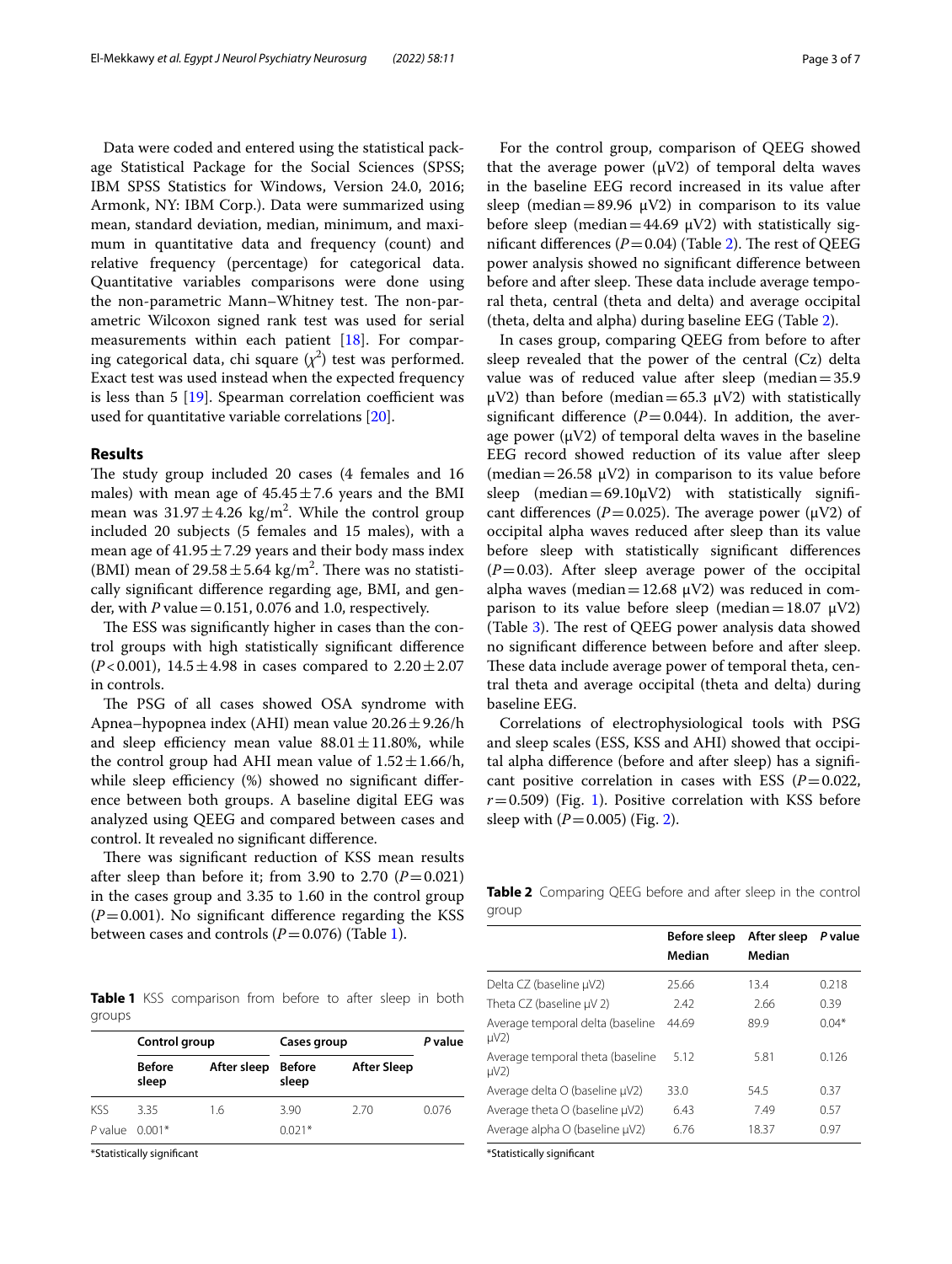Data were coded and entered using the statistical package Statistical Package for the Social Sciences (SPSS; IBM SPSS Statistics for Windows, Version 24.0, 2016; Armonk, NY: IBM Corp.). Data were summarized using mean, standard deviation, median, minimum, and maximum in quantitative data and frequency (count) and relative frequency (percentage) for categorical data. Quantitative variables comparisons were done using the non-parametric Mann–Whitney test. The non-parametric Wilcoxon signed rank test was used for serial measurements within each patient [[18\]](#page-6-2). For comparing categorical data, chi square  $(\chi^2)$  test was performed. Exact test was used instead when the expected frequency is less than  $5 \left[ 19 \right]$ . Spearman correlation coefficient was used for quantitative variable correlations [[20\]](#page-6-4).

#### **Results**

The study group included 20 cases (4 females and 16 males) with mean age of  $45.45 \pm 7.6$  years and the BMI mean was  $31.97 \pm 4.26$  kg/m<sup>2</sup>. While the control group included 20 subjects (5 females and 15 males), with a mean age of  $41.95 \pm 7.29$  years and their body mass index (BMI) mean of  $29.58 \pm 5.64$  kg/m<sup>2</sup>. There was no statistically signifcant diference regarding age, BMI, and gender, with *P* value=0.151, 0.076 and 1.0, respectively.

The ESS was significantly higher in cases than the control groups with high statistically signifcant diference (*P*<0.001),  $14.5 \pm 4.98$  in cases compared to  $2.20 \pm 2.07$ in controls.

The PSG of all cases showed OSA syndrome with Apnea–hypopnea index (AHI) mean value  $20.26 \pm 9.26$ /h and sleep efficiency mean value  $88.01 \pm 11.80$ %, while the control group had AHI mean value of  $1.52 \pm 1.66/h$ , while sleep efficiency  $%$  showed no significant difference between both groups. A baseline digital EEG was analyzed using QEEG and compared between cases and control. It revealed no signifcant diference.

There was significant reduction of KSS mean results after sleep than before it; from 3.90 to 2.70  $(P=0.021)$ in the cases group and 3.35 to 1.60 in the control group  $(P=0.001)$ . No significant difference regarding the KSS between cases and controls  $(P=0.076)$  (Table [1](#page-2-0)).

<span id="page-2-0"></span>**Table 1** KSS comparison from before to after sleep in both groups

|                    | Control group          |             | Cases group     |                    | P value |
|--------------------|------------------------|-------------|-----------------|--------------------|---------|
|                    | <b>Before</b><br>sleep | After sleep | Before<br>sleep | <b>After Sleep</b> |         |
| KSS                | 3.35                   | 1.6         | 3.90            | 2.70               | 0.076   |
| $P$ value $0.001*$ |                        |             | $0.021*$        |                    |         |

\*Statistically signifcant

For the control group, comparison of QEEG showed that the average power  $(\mu V2)$  of temporal delta waves in the baseline EEG record increased in its value after sleep (median=89.96  $\mu$ V2) in comparison to its value before sleep (median=44.69  $\mu$ V2) with statistically significant differences  $(P=0.04)$  (Table [2\)](#page-2-1). The rest of QEEG power analysis showed no signifcant diference between before and after sleep. These data include average temporal theta, central (theta and delta) and average occipital (theta, delta and alpha) during baseline EEG (Table [2\)](#page-2-1).

In cases group, comparing QEEG from before to after sleep revealed that the power of the central (Cz) delta value was of reduced value after sleep (median=35.9 μV2) than before (median=65.3 μV2) with statistically significant difference  $(P=0.044)$ . In addition, the average power  $(\mu V2)$  of temporal delta waves in the baseline EEG record showed reduction of its value after sleep (median = 26.58  $\mu$ V2) in comparison to its value before sleep (median=69.10 $\mu$ V2) with statistically significant differences ( $P = 0.025$ ). The average power ( $\mu$ V2) of occipital alpha waves reduced after sleep than its value before sleep with statistically signifcant diferences  $(P=0.03)$ . After sleep average power of the occipital alpha waves (median=12.68  $\mu$ V2) was reduced in comparison to its value before sleep (median=18.07  $\mu$ V2) (Table [3](#page-3-0)). The rest of QEEG power analysis data showed no signifcant diference between before and after sleep. These data include average power of temporal theta, central theta and average occipital (theta and delta) during baseline EEG.

Correlations of electrophysiological tools with PSG and sleep scales (ESS, KSS and AHI) showed that occipital alpha diference (before and after sleep) has a signifcant positive correlation in cases with ESS  $(P=0.022,$  $r=0.509$ ) (Fig. [1\)](#page-3-1). Positive correlation with KSS before sleep with (*P*=0.005) (Fig. [2\)](#page-3-2).

<span id="page-2-1"></span>**Table 2** Comparing QEEG before and after sleep in the control group

|                                               | <b>Before sleep</b><br>Median | After sleep<br>Median | P value |
|-----------------------------------------------|-------------------------------|-----------------------|---------|
| Delta CZ (baseline µV2)                       | 25.66                         | 13.4                  | 0.218   |
| Theta CZ (baseline $\mu$ V 2)                 | 2.42                          | 2.66                  | 0.39    |
| Average temporal delta (baseline<br>$\mu$ V2) | 44.69                         | 89.9                  | $0.04*$ |
| Average temporal theta (baseline<br>$\mu$ V2) | 5.12                          | 5.81                  | 0.126   |
| Average delta O (baseline µV2)                | 33.0                          | 54.5                  | 0.37    |
| Average theta O (baseline µV2)                | 6.43                          | 749                   | 0.57    |
| Average alpha O (baseline µV2)                | 6.76                          | 18.37                 | 0.97    |

\*Statistically signifcant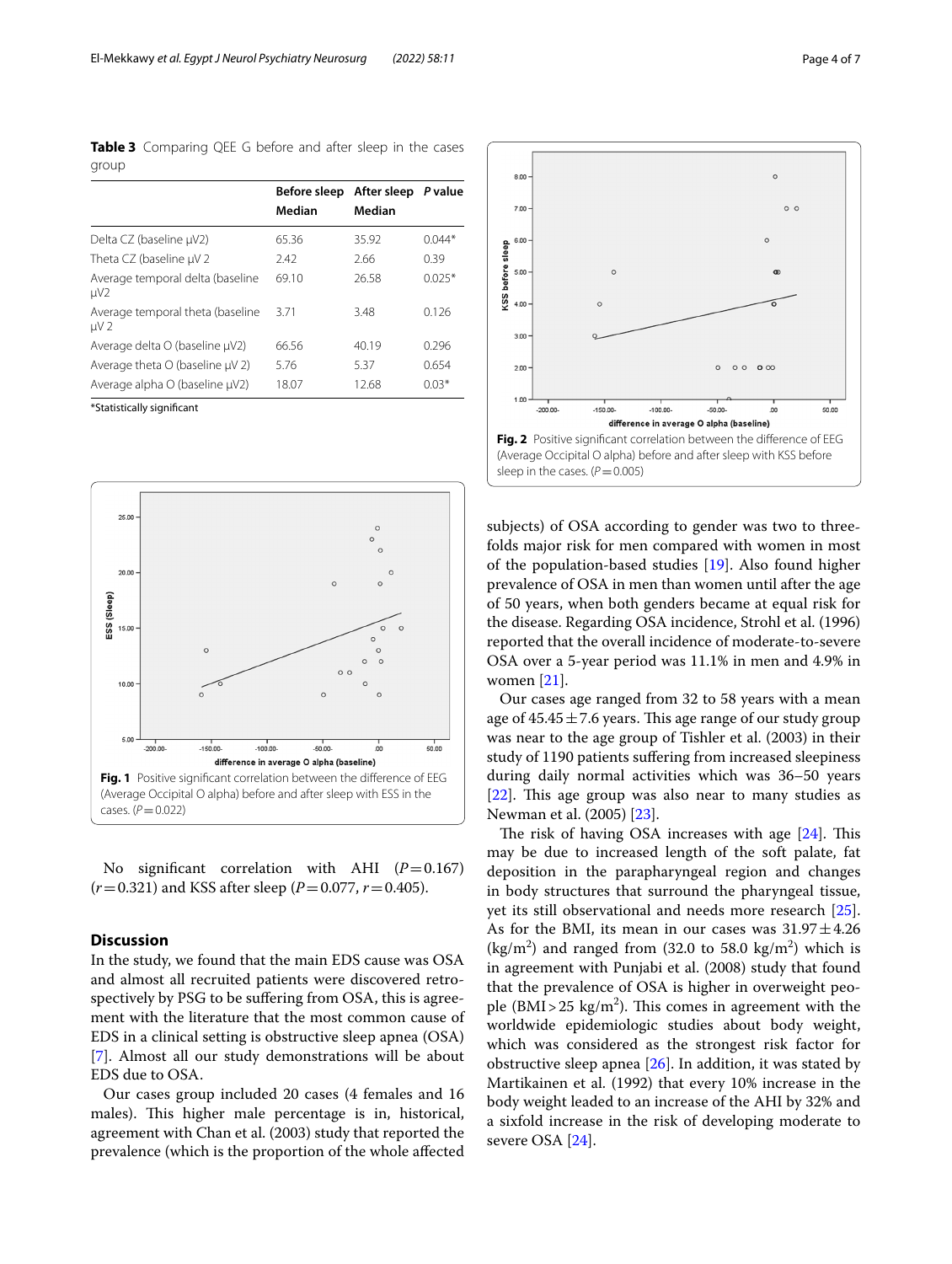<span id="page-3-0"></span>**Table 3** Comparing QEE G before and after sleep in the cases group

| 65.36 | 35.92 | $0.044*$ |
|-------|-------|----------|
| 2.42  | 2.66  | 0.39     |
| 69.10 | 26.58 | $0.025*$ |
| 3.71  | 3.48  | 0.126    |
| 66.56 | 40.19 | 0.296    |
| 5.76  | 5.37  | 0.654    |
| 18.07 | 12.68 | $0.03*$  |
|       |       |          |

\*Statistically signifcant



<span id="page-3-1"></span>No significant correlation with AHI  $(P=0.167)$  $(r=0.321)$  and KSS after sleep ( $P=0.077$ ,  $r=0.405$ ).

# **Discussion**

In the study, we found that the main EDS cause was OSA and almost all recruited patients were discovered retrospectively by PSG to be sufering from OSA, this is agreement with the literature that the most common cause of EDS in a clinical setting is obstructive sleep apnea (OSA) [[7\]](#page-5-6). Almost all our study demonstrations will be about EDS due to OSA.

Our cases group included 20 cases (4 females and 16 males). This higher male percentage is in, historical, agreement with Chan et al. (2003) study that reported the prevalence (which is the proportion of the whole afected



<span id="page-3-2"></span>subjects) of OSA according to gender was two to threefolds major risk for men compared with women in most of the population-based studies [[19](#page-6-3)]. Also found higher prevalence of OSA in men than women until after the age of 50 years, when both genders became at equal risk for the disease. Regarding OSA incidence, Strohl et al. (1996) reported that the overall incidence of moderate-to-severe OSA over a 5-year period was 11.1% in men and 4.9% in women [\[21](#page-6-5)].

Our cases age ranged from 32 to 58 years with a mean age of  $45.45 \pm 7.6$  years. This age range of our study group was near to the age group of Tishler et al. (2003) in their study of 1190 patients sufering from increased sleepiness during daily normal activities which was 36–50 years  $[22]$  $[22]$ . This age group was also near to many studies as Newman et al. (2005) [[23](#page-6-7)].

The risk of having OSA increases with age  $[24]$ . This may be due to increased length of the soft palate, fat deposition in the parapharyngeal region and changes in body structures that surround the pharyngeal tissue, yet its still observational and needs more research [\[25](#page-6-9)]. As for the BMI, its mean in our cases was  $31.97 \pm 4.26$  $(kg/m<sup>2</sup>)$  and ranged from (32.0 to 58.0  $kg/m<sup>2</sup>$ ) which is in agreement with Punjabi et al. (2008) study that found that the prevalence of OSA is higher in overweight people  $(BMI > 25 \text{ kg/m}^2)$ . This comes in agreement with the worldwide epidemiologic studies about body weight, which was considered as the strongest risk factor for obstructive sleep apnea [[26\]](#page-6-10). In addition, it was stated by Martikainen et al. (1992) that every 10% increase in the body weight leaded to an increase of the AHI by 32% and a sixfold increase in the risk of developing moderate to severe OSA [[24\]](#page-6-8).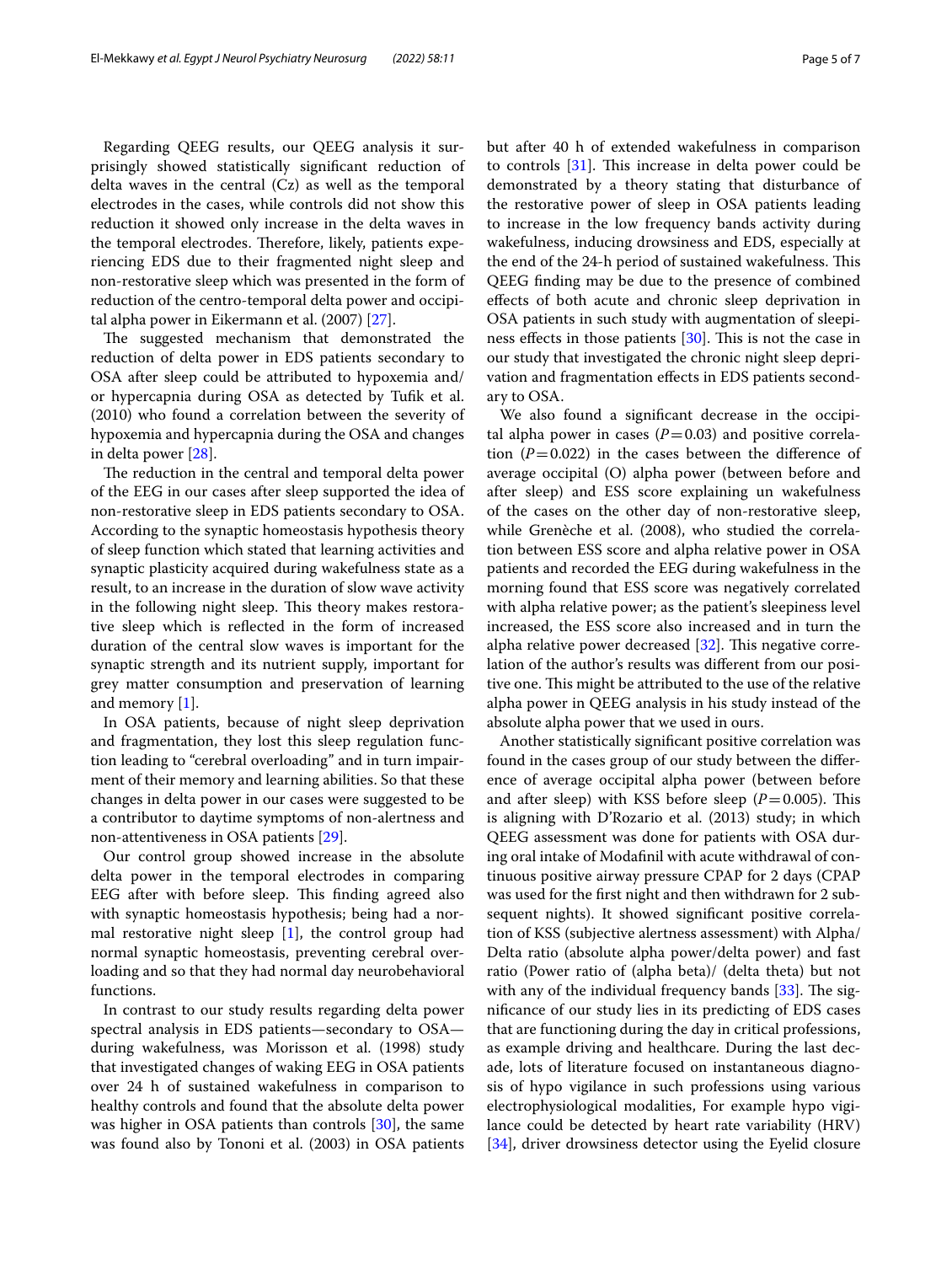Regarding QEEG results, our QEEG analysis it surprisingly showed statistically signifcant reduction of delta waves in the central (Cz) as well as the temporal electrodes in the cases, while controls did not show this reduction it showed only increase in the delta waves in the temporal electrodes. Therefore, likely, patients experiencing EDS due to their fragmented night sleep and non-restorative sleep which was presented in the form of reduction of the centro-temporal delta power and occipital alpha power in Eikermann et al. (2007) [[27](#page-6-11)].

The suggested mechanism that demonstrated the reduction of delta power in EDS patients secondary to OSA after sleep could be attributed to hypoxemia and/ or hypercapnia during OSA as detected by Tufk et al. (2010) who found a correlation between the severity of hypoxemia and hypercapnia during the OSA and changes in delta power [[28](#page-6-12)].

The reduction in the central and temporal delta power of the EEG in our cases after sleep supported the idea of non-restorative sleep in EDS patients secondary to OSA. According to the synaptic homeostasis hypothesis theory of sleep function which stated that learning activities and synaptic plasticity acquired during wakefulness state as a result, to an increase in the duration of slow wave activity in the following night sleep. This theory makes restorative sleep which is refected in the form of increased duration of the central slow waves is important for the synaptic strength and its nutrient supply, important for grey matter consumption and preservation of learning and memory [\[1](#page-5-0)].

In OSA patients, because of night sleep deprivation and fragmentation, they lost this sleep regulation function leading to "cerebral overloading" and in turn impairment of their memory and learning abilities. So that these changes in delta power in our cases were suggested to be a contributor to daytime symptoms of non-alertness and non-attentiveness in OSA patients [\[29](#page-6-13)].

Our control group showed increase in the absolute delta power in the temporal electrodes in comparing EEG after with before sleep. This finding agreed also with synaptic homeostasis hypothesis; being had a normal restorative night sleep  $[1]$  $[1]$ , the control group had normal synaptic homeostasis, preventing cerebral overloading and so that they had normal day neurobehavioral functions.

In contrast to our study results regarding delta power spectral analysis in EDS patients—secondary to OSA during wakefulness, was Morisson et al. (1998) study that investigated changes of waking EEG in OSA patients over 24 h of sustained wakefulness in comparison to healthy controls and found that the absolute delta power was higher in OSA patients than controls [\[30](#page-6-14)], the same was found also by Tononi et al. (2003) in OSA patients but after 40 h of extended wakefulness in comparison to controls  $[31]$  $[31]$ . This increase in delta power could be demonstrated by a theory stating that disturbance of the restorative power of sleep in OSA patients leading to increase in the low frequency bands activity during wakefulness, inducing drowsiness and EDS, especially at the end of the 24-h period of sustained wakefulness. This QEEG fnding may be due to the presence of combined efects of both acute and chronic sleep deprivation in OSA patients in such study with augmentation of sleepiness effects in those patients  $[30]$  $[30]$ . This is not the case in our study that investigated the chronic night sleep deprivation and fragmentation efects in EDS patients secondary to OSA.

We also found a signifcant decrease in the occipital alpha power in cases  $(P=0.03)$  and positive correlation  $(P=0.022)$  in the cases between the difference of average occipital (O) alpha power (between before and after sleep) and ESS score explaining un wakefulness of the cases on the other day of non-restorative sleep, while Grenèche et al. (2008), who studied the correlation between ESS score and alpha relative power in OSA patients and recorded the EEG during wakefulness in the morning found that ESS score was negatively correlated with alpha relative power; as the patient's sleepiness level increased, the ESS score also increased and in turn the alpha relative power decreased  $[32]$ . This negative correlation of the author's results was diferent from our positive one. This might be attributed to the use of the relative alpha power in QEEG analysis in his study instead of the absolute alpha power that we used in ours.

Another statistically signifcant positive correlation was found in the cases group of our study between the diference of average occipital alpha power (between before and after sleep) with KSS before sleep  $(P=0.005)$ . This is aligning with D'Rozario et al. (2013) study; in which QEEG assessment was done for patients with OSA during oral intake of Modafnil with acute withdrawal of continuous positive airway pressure CPAP for 2 days (CPAP was used for the frst night and then withdrawn for 2 subsequent nights). It showed signifcant positive correlation of KSS (subjective alertness assessment) with Alpha/ Delta ratio (absolute alpha power/delta power) and fast ratio (Power ratio of (alpha beta)/ (delta theta) but not with any of the individual frequency bands  $[33]$  $[33]$  $[33]$ . The signifcance of our study lies in its predicting of EDS cases that are functioning during the day in critical professions, as example driving and healthcare. During the last decade, lots of literature focused on instantaneous diagnosis of hypo vigilance in such professions using various electrophysiological modalities, For example hypo vigilance could be detected by heart rate variability (HRV) [[34\]](#page-6-18), driver drowsiness detector using the Eyelid closure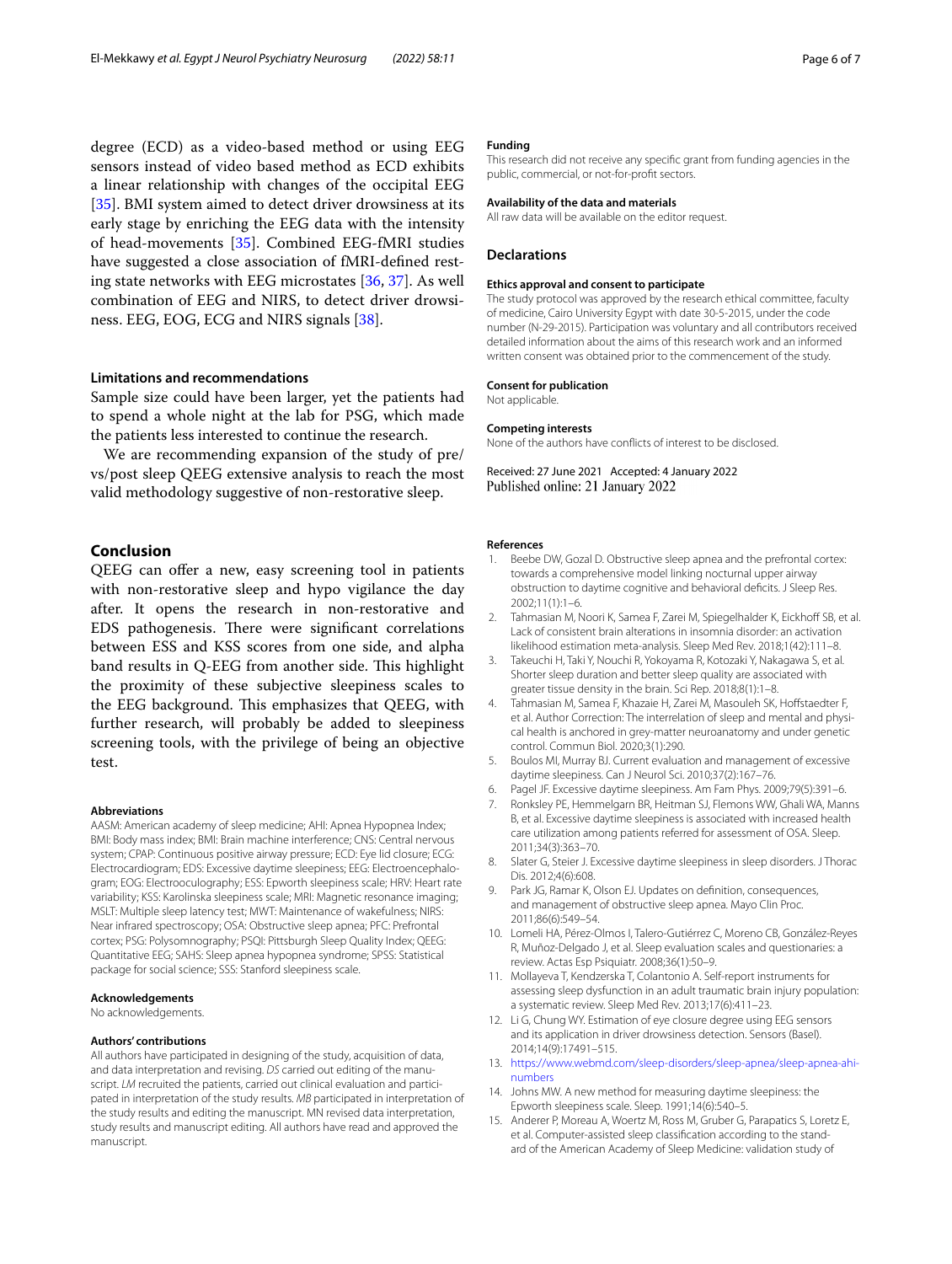degree (ECD) as a video-based method or using EEG sensors instead of video based method as ECD exhibits a linear relationship with changes of the occipital EEG [[35\]](#page-6-19). BMI system aimed to detect driver drowsiness at its early stage by enriching the EEG data with the intensity of head-movements [\[35](#page-6-19)]. Combined EEG-fMRI studies have suggested a close association of fMRI-defned resting state networks with EEG microstates [\[36](#page-6-20), [37\]](#page-6-21). As well combination of EEG and NIRS, to detect driver drowsiness. EEG, EOG, ECG and NIRS signals [[38](#page-6-22)].

## **Limitations and recommendations**

Sample size could have been larger, yet the patients had to spend a whole night at the lab for PSG, which made the patients less interested to continue the research.

We are recommending expansion of the study of pre/ vs/post sleep QEEG extensive analysis to reach the most valid methodology suggestive of non-restorative sleep.

# **Conclusion**

QEEG can offer a new, easy screening tool in patients with non-restorative sleep and hypo vigilance the day after. It opens the research in non-restorative and EDS pathogenesis. There were significant correlations between ESS and KSS scores from one side, and alpha band results in Q-EEG from another side. This highlight the proximity of these subjective sleepiness scales to the EEG background. This emphasizes that QEEG, with further research, will probably be added to sleepiness screening tools, with the privilege of being an objective test.

#### **Abbreviations**

AASM: American academy of sleep medicine; AHI: Apnea Hypopnea Index; BMI: Body mass index; BMI: Brain machine interference; CNS: Central nervous system; CPAP: Continuous positive airway pressure; ECD: Eye lid closure; ECG: Electrocardiogram; EDS: Excessive daytime sleepiness; EEG: Electroencephalogram; EOG: Electrooculography; ESS: Epworth sleepiness scale; HRV: Heart rate variability; KSS: Karolinska sleepiness scale; MRI: Magnetic resonance imaging; MSLT: Multiple sleep latency test; MWT: Maintenance of wakefulness; NIRS: Near infrared spectroscopy; OSA: Obstructive sleep apnea; PFC: Prefrontal cortex; PSG: Polysomnography; PSQI: Pittsburgh Sleep Quality Index; QEEG: Quantitative EEG; SAHS: Sleep apnea hypopnea syndrome; SPSS: Statistical package for social science; SSS: Stanford sleepiness scale.

### **Acknowledgements**

No acknowledgements.

#### **Authors' contributions**

All authors have participated in designing of the study, acquisition of data, and data interpretation and revising. *DS* carried out editing of the manuscript. *LM* recruited the patients, carried out clinical evaluation and participated in interpretation of the study results. *MB* participated in interpretation of the study results and editing the manuscript. MN revised data interpretation, study results and manuscript editing. All authors have read and approved the manuscript.

#### **Funding**

This research did not receive any specifc grant from funding agencies in the public, commercial, or not-for-proft sectors.

#### **Availability of the data and materials**

All raw data will be available on the editor request.

#### **Declarations**

#### **Ethics approval and consent to participate**

The study protocol was approved by the research ethical committee, faculty of medicine, Cairo University Egypt with date 30-5-2015, under the code number (N-29-2015). Participation was voluntary and all contributors received detailed information about the aims of this research work and an informed written consent was obtained prior to the commencement of the study.

#### **Consent for publication**

Not applicable.

#### **Competing interests**

None of the authors have conficts of interest to be disclosed.

Received: 27 June 2021 Accepted: 4 January 2022 Published online: 21 January 2022

#### **References**

- <span id="page-5-0"></span>Beebe DW, Gozal D. Obstructive sleep apnea and the prefrontal cortex: towards a comprehensive model linking nocturnal upper airway obstruction to daytime cognitive and behavioral defcits. J Sleep Res. 2002;11(1):1–6.
- <span id="page-5-1"></span>2. Tahmasian M, Noori K, Samea F, Zarei M, Spiegelhalder K, Eickhoff SB, et al. Lack of consistent brain alterations in insomnia disorder: an activation likelihood estimation meta-analysis. Sleep Med Rev. 2018;1(42):111–8.
- <span id="page-5-2"></span>3. Takeuchi H, Taki Y, Nouchi R, Yokoyama R, Kotozaki Y, Nakagawa S, et al. Shorter sleep duration and better sleep quality are associated with greater tissue density in the brain. Sci Rep. 2018;8(1):1–8.
- <span id="page-5-3"></span>Tahmasian M, Samea F, Khazaie H, Zarei M, Masouleh SK, Hoffstaedter F, et al. Author Correction: The interrelation of sleep and mental and physical health is anchored in grey-matter neuroanatomy and under genetic control. Commun Biol. 2020;3(1):290.
- <span id="page-5-4"></span>5. Boulos MI, Murray BJ. Current evaluation and management of excessive daytime sleepiness. Can J Neurol Sci. 2010;37(2):167–76.
- <span id="page-5-5"></span>6. Pagel JF. Excessive daytime sleepiness. Am Fam Phys. 2009;79(5):391–6.
- <span id="page-5-6"></span>7. Ronksley PE, Hemmelgarn BR, Heitman SJ, Flemons WW, Ghali WA, Manns B, et al. Excessive daytime sleepiness is associated with increased health care utilization among patients referred for assessment of OSA. Sleep. 2011;34(3):363–70.
- <span id="page-5-7"></span>8. Slater G, Steier J. Excessive daytime sleepiness in sleep disorders. J Thorac Dis. 2012;4(6):608.
- <span id="page-5-8"></span>9. Park JG, Ramar K, Olson EJ. Updates on defnition, consequences, and management of obstructive sleep apnea. Mayo Clin Proc. 2011;86(6):549–54.
- <span id="page-5-9"></span>10. Lomeli HA, Pérez-Olmos I, Talero-Gutiérrez C, Moreno CB, González-Reyes R, Muñoz-Delgado J, et al. Sleep evaluation scales and questionaries: a review. Actas Esp Psiquiatr. 2008;36(1):50–9.
- <span id="page-5-10"></span>11. Mollayeva T, Kendzerska T, Colantonio A. Self-report instruments for assessing sleep dysfunction in an adult traumatic brain injury population: a systematic review. Sleep Med Rev. 2013;17(6):411–23.
- <span id="page-5-11"></span>12. Li G, Chung WY. Estimation of eye closure degree using EEG sensors and its application in driver drowsiness detection. Sensors (Basel). 2014;14(9):17491–515.
- <span id="page-5-12"></span>13. [https://www.webmd.com/sleep-disorders/sleep-apnea/sleep-apnea-ahi](https://www.webmd.com/sleep-disorders/sleep-apnea/sleep-apnea-ahi-numbers) [numbers](https://www.webmd.com/sleep-disorders/sleep-apnea/sleep-apnea-ahi-numbers)
- <span id="page-5-13"></span>14. Johns MW. A new method for measuring daytime sleepiness: the Epworth sleepiness scale. Sleep. 1991;14(6):540–5.
- <span id="page-5-14"></span>15. Anderer P, Moreau A, Woertz M, Ross M, Gruber G, Parapatics S, Loretz E, et al. Computer-assisted sleep classification according to the standard of the American Academy of Sleep Medicine: validation study of